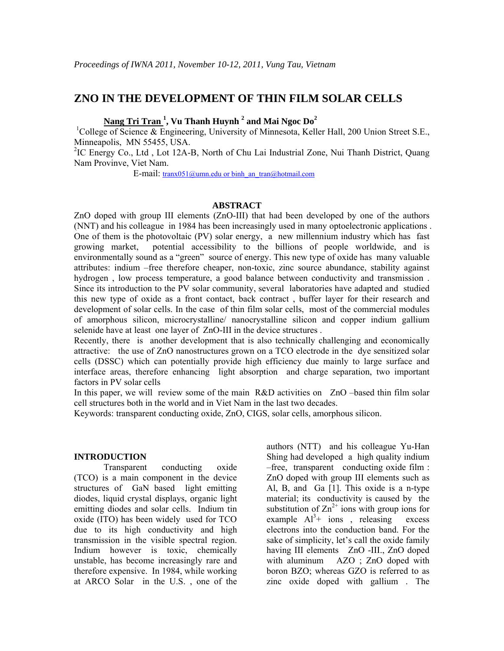# **ZNO IN THE DEVELOPMENT OF THIN FILM SOLAR CELLS**

**Nang Tri Tran 1 , Vu Thanh Huynh <sup>2</sup> and Mai Ngoc Do<sup>2</sup>**

<sup>1</sup>College of Science & Engineering, University of Minnesota, Keller Hall, 200 Union Street S.E., Minneapolis, MN 55455, USA.

<sup>2</sup>IC Energy Co., Ltd, Lot 12A-B, North of Chu Lai Industrial Zone, Nui Thanh District, Quang Nam Provinve, Viet Nam.

E-mail: [tranx051@umn.edu](mailto:tranx051@umn.edu) or binh\_an\_tran@hotmail.com

#### **ABSTRACT**

ZnO doped with group III elements (ZnO-III) that had been developed by one of the authors (NNT) and his colleague in 1984 has been increasingly used in many optoelectronic applications . One of them is the photovoltaic (PV) solar energy, a new millennium industry which has fast growing market, potential accessibility to the billions of people worldwide, and is environmentally sound as a "green" source of energy. This new type of oxide has many valuable attributes: indium –free therefore cheaper, non-toxic, zinc source abundance, stability against hydrogen , low process temperature, a good balance between conductivity and transmission . Since its introduction to the PV solar community, several laboratories have adapted and studied this new type of oxide as a front contact, back contract , buffer layer for their research and development of solar cells. In the case of thin film solar cells, most of the commercial modules of amorphous silicon, microcrystalline/ nanocrystalline silicon and copper indium gallium selenide have at least one layer of ZnO-III in the device structures .

Recently, there is another development that is also technically challenging and economically attractive: the use of ZnO nanostructures grown on a TCO electrode in the dye sensitized solar cells (DSSC) which can potentially provide high efficiency due mainly to large surface and interface areas, therefore enhancing light absorption and charge separation, two important factors in PV solar cells

In this paper, we will review some of the main R&D activities on ZnO –based thin film solar cell structures both in the world and in Viet Nam in the last two decades.

Keywords: transparent conducting oxide, ZnO, CIGS, solar cells, amorphous silicon.

#### **INTRODUCTION**

Transparent conducting oxide (TCO) is a main component in the device structures of GaN based light emitting diodes, liquid crystal displays, organic light emitting diodes and solar cells. Indium tin oxide (ITO) has been widely used for TCO due to its high conductivity and high transmission in the visible spectral region. Indium however is toxic, chemically unstable, has become increasingly rare and therefore expensive. In 1984, while working at ARCO Solar in the U.S. , one of the

authors (NTT) and his colleague Yu-Han Shing had developed a high quality indium –free, transparent conducting oxide film : ZnO doped with group III elements such as Al, B, and Ga [1]. This oxide is a n-type material; its conductivity is caused by the substitution of  $\text{Zn}^{2+}$  ions with group ions for example  $Al^3+$  ions, releasing excess electrons into the conduction band. For the sake of simplicity, let's call the oxide family having III elements ZnO -III., ZnO doped with aluminum AZO ; ZnO doped with boron BZO; whereas GZO is referred to as zinc oxide doped with gallium . The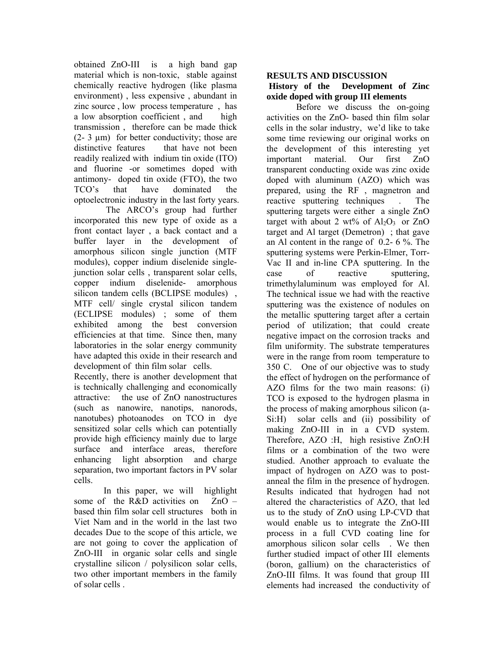obtained ZnO-III is a high band gap material which is non-toxic, stable against chemically reactive hydrogen (like plasma environment) , less expensive , abundant in zinc source , low process temperature , has a low absorption coefficient , and high transmission , therefore can be made thick (2- 3 µm) for better conductivity; those are distinctive features that have not been readily realized with indium tin oxide (ITO) and fluorine -or sometimes doped with antimony- doped tin oxide (FTO), the two TCO's that have dominated the optoelectronic industry in the last forty years.

 The ARCO's group had further incorporated this new type of oxide as a front contact layer , a back contact and a buffer layer in the development of amorphous silicon single junction (MTF modules), copper indium diselenide singlejunction solar cells , transparent solar cells, copper indium diselenide- amorphous silicon tandem cells (BCLIPSE modules) , MTF cell/ single crystal silicon tandem (ECLIPSE modules) ; some of them exhibited among the best conversion efficiencies at that time. Since then, many laboratories in the solar energy community have adapted this oxide in their research and development of thin film solar cells.

Recently, there is another development that is technically challenging and economically attractive: the use of ZnO nanostructures (such as nanowire, nanotips, nanorods, nanotubes) photoanodes on TCO in dye sensitized solar cells which can potentially provide high efficiency mainly due to large surface and interface areas, therefore enhancing light absorption and charge separation, two important factors in PV solar cells.

In this paper, we will highlight some of the R&D activities on  $ZnO$ based thin film solar cell structures both in Viet Nam and in the world in the last two decades Due to the scope of this article, we are not going to cover the application of ZnO-III in organic solar cells and single crystalline silicon / polysilicon solar cells, two other important members in the family of solar cells .

## **RESULTS AND DISCUSSION**

#### **History of the Development of Zinc oxide doped with group III elements**

Before we discuss the on-going activities on the ZnO- based thin film solar cells in the solar industry, we'd like to take some time reviewing our original works on the development of this interesting yet important material. Our first ZnO transparent conducting oxide was zinc oxide doped with aluminum (AZO) which was prepared, using the RF , magnetron and reactive sputtering techniques . The sputtering targets were either a single ZnO target with about 2 wt% of  $Al_2O_3$  or ZnO target and Al target (Demetron) ; that gave an Al content in the range of 0.2- 6 %. The sputtering systems were Perkin-Elmer, Torr-Vac II and in-line CPA sputtering. In the case of reactive sputtering, trimethylaluminum was employed for Al. The technical issue we had with the reactive sputtering was the existence of nodules on the metallic sputtering target after a certain period of utilization; that could create negative impact on the corrosion tracks and film uniformity. The substrate temperatures were in the range from room temperature to 350 C. One of our objective was to study the effect of hydrogen on the performance of AZO films for the two main reasons: (i) TCO is exposed to the hydrogen plasma in the process of making amorphous silicon (a-Si:H) solar cells and (ii) possibility of making ZnO-III in in a CVD system. Therefore, AZO :H, high resistive ZnO:H films or a combination of the two were studied. Another approach to evaluate the impact of hydrogen on AZO was to postanneal the film in the presence of hydrogen. Results indicated that hydrogen had not altered the characteristics of AZO, that led us to the study of ZnO using LP-CVD that would enable us to integrate the ZnO-III process in a full CVD coating line for amorphous silicon solar cells . We then further studied impact of other III elements (boron, gallium) on the characteristics of ZnO-III films. It was found that group III elements had increased the conductivity of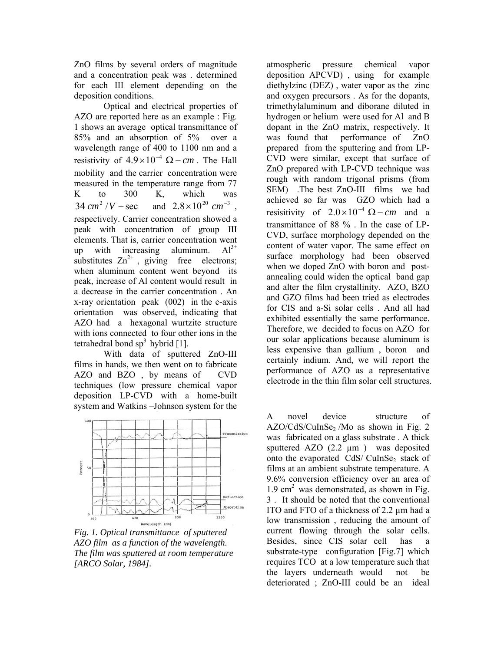ZnO films by several orders of magnitude and a concentration peak was . determined for each III element depending on the deposition conditions.

Optical and electrical properties of AZO are reported here as an example : Fig. 1 shows an average optical transmittance of 85% and an absorption of 5% over a wavelength range of 400 to 1100 nm and a resistivity of  $4.9 \times 10^{-4}$   $\Omega$  - cm. The Hall mobility and the carrier concentration were measured in the temperature range from 77 K to 300 K, which was  $34 \text{ cm}^2 / V - \text{sec}$  and  $2.8 \times 10^{20} \text{ cm}^{-3}$ , respectively. Carrier concentration showed a peak with concentration of group III elements. That is, carrier concentration went up with increasing aluminum.  $Al^{3+}$ substitutes  $Zn^{2+}$ , giving free electrons; when aluminum content went beyond its peak, increase of Al content would result in a decrease in the carrier concentration . An x-ray orientation peak (002) in the c-axis orientation was observed, indicating that AZO had a hexagonal wurtzite structure with ions connected to four other ions in the tetrahedral bond  $sp^3$  hybrid [1].

With data of sputtered ZnO-III films in hands, we then went on to fabricate AZO and BZO , by means of CVD techniques (low pressure chemical vapor deposition LP-CVD with a home-built system and Watkins –Johnson system for the



*Fig. 1. Optical transmittance of sputtered AZO film as a function of the wavelength. The film was sputtered at room temperature [ARCO Solar, 1984].* 

atmospheric pressure chemical vapor deposition APCVD) , using for example diethylzinc (DEZ) , water vapor as the zinc and oxygen precursors . As for the dopants, trimethylaluminum and diborane diluted in hydrogen or helium were used for Al and B dopant in the ZnO matrix, respectively. It was found that performance of ZnO prepared from the sputtering and from LP-CVD were similar, except that surface of ZnO prepared with LP-CVD technique was rough with random trigonal prisms (from SEM) .The best ZnO-III films we had achieved so far was GZO which had a resisitivity of  $2.0 \times 10^{-4}$   $\Omega$  - *cm* and a transmittance of 88 % . In the case of LP-CVD, surface morphology depended on the content of water vapor. The same effect on surface morphology had been observed when we doped ZnO with boron and postannealing could widen the optical band gap and alter the film crystallinity. AZO, BZO and GZO films had been tried as electrodes for CIS and a-Si solar cells . And all had exhibited essentially the same performance. Therefore, we decided to focus on AZO for our solar applications because aluminum is less expensive than gallium , boron and certainly indium. And, we will report the performance of AZO as a representative electrode in the thin film solar cell structures.

A novel device structure of  $AZO/CdS/CuInSe<sub>2</sub>$  /Mo as shown in Fig. 2 was fabricated on a glass substrate . A thick sputtered AZO (2.2  $\mu$ m) was deposited onto the evaporated CdS/ CuInSe<sub>2</sub> stack of films at an ambient substrate temperature. A 9.6% conversion efficiency over an area of  $1.9 \text{ cm}^2$  was demonstrated, as shown in Fig. 3 . It should be noted that the conventional ITO and FTO of a thickness of 2.2 µm had a low transmission , reducing the amount of current flowing through the solar cells. Besides, since CIS solar cell has a substrate-type configuration [Fig.7] which requires TCO at a low temperature such that the layers underneath would not be deteriorated ; ZnO-III could be an ideal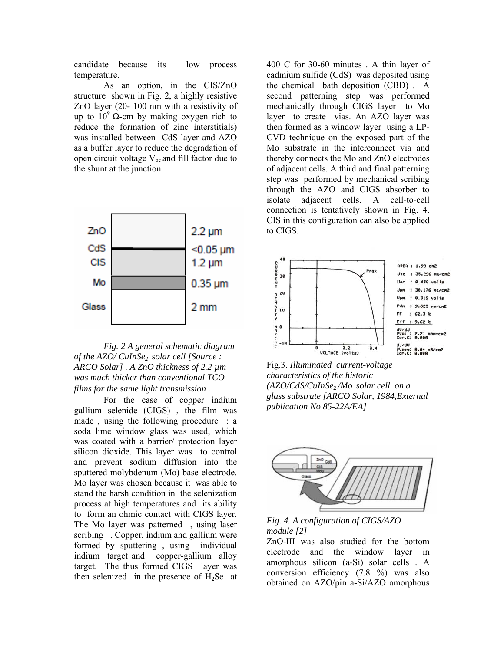candidate because its low process temperature.

As an option, in the CIS/ZnO structure shown in Fig. 2, a highly resistive ZnO layer (20- 100 nm with a resistivity of up to  $10^9 \Omega$ -cm by making oxygen rich to reduce the formation of zinc interstitials) was installed between CdS layer and AZO as a buffer layer to reduce the degradation of open circuit voltage  $V_{\text{oc}}$  and fill factor due to the shunt at the junction. .



*Fig. 2 A general schematic diagram of the AZO/ CuInSe2 solar cell [Source : ARCO Solar] . A ZnO thickness of 2.2 µm was much thicker than conventional TCO films for the same light transmission .* 

 For the case of copper indium gallium selenide (CIGS) , the film was made , using the following procedure : a soda lime window glass was used, which was coated with a barrier/ protection layer silicon dioxide. This layer was to control and prevent sodium diffusion into the sputtered molybdenum (Mo) base electrode. Mo layer was chosen because it was able to stand the harsh condition in the selenization process at high temperatures and its ability to form an ohmic contact with CIGS layer. The Mo layer was patterned , using laser scribing . Copper, indium and gallium were formed by sputtering , using individual indium target and copper-gallium alloy target. The thus formed CIGS layer was then selenized in the presence of  $H_2$ Se at

400 C for 30-60 minutes . A thin layer of cadmium sulfide (CdS) was deposited using the chemical bath deposition (CBD) . A second patterning step was performed mechanically through CIGS layer to Mo layer to create vias. An AZO layer was then formed as a window layer using a LP-CVD technique on the exposed part of the Mo substrate in the interconnect via and thereby connects the Mo and ZnO electrodes of adjacent cells. A third and final patterning step was performed by mechanical scribing through the AZO and CIGS absorber to isolate adjacent cells. A cell-to-cell connection is tentatively shown in Fig. 4. CIS in this configuration can also be applied to CIGS.



Fig.3. *Illuminated current-vol tage characteristics of the historic (AZO/CdS/CuInSe2 /Mo solar cell on a glass substrate [ARCO Solar , 1984,External publication No 85-22A/EA]* 





obtained on AZO/pin a-Si/AZO amorphous ZnO-III was also studied for the bottom electrode and the window layer in amorphous silicon (a-Si) solar cells . A conversion efficiency (7.8 %) was also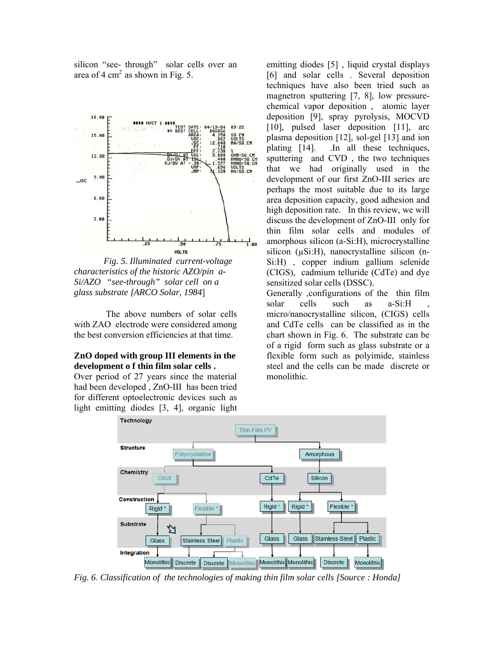silicon "see- through" solar cells over an area of  $4 \text{ cm}^2$  as shown in Fig. 5.



*Fig. 5. Illuminated current-voltage characteristics of the historic AZO/pin a-Si/AZO "see-through" solar cell on a glass substrate [ARCO Solar, 1984*]

 The above numbers of solar cells with ZAO electrode were considered among the best conversion efficiencies at that time.

#### **ZnO doped with group III elements in the development o f thin film solar cells .**

Over period of 27 years since the material had been developed , ZnO-III has been tried for different optoelectronic devices such as light emitting diodes [3, 4], organic light

emitting diodes [5] , liquid crystal displays [6] and solar cells . Several deposition techniques have also been tried such as magnetron sputtering [7, 8], low pressurechemical vapor deposition , atomic layer deposition [9], spray pyrolysis, MOCVD [10], pulsed laser deposition [11], arc plasma deposition [12], sol-gel [13] and ion plating [14]. .In all these techniques, sputtering and CVD , the two techniques that we had originally used in the development of our first ZnO-III series are perhaps the most suitable due to its large area deposition capacity, good adhesion and high deposition rate. In this review, we will discuss the development of ZnO-III only for thin film solar cells and modules of amorphous silicon (a-Si:H), microcrystalline silicon (µSi:H), nanocrystalline silicon (n-Si:H) , copper indium gallium selenide (CIGS), cadmium telluride (CdTe) and dye sensitized solar cells (DSSC).

Generally ,configurations of the thin film solar cells such as a-Si:H micro/nanocrystalline silicon, (CIGS) cells and CdTe cells can be classified as in the chart shown in Fig. 6. The substrate can be of a rigid form such as glass substrate or a flexible form such as polyimide, stainless steel and the cells can be made discrete or monolithic.



*Fig. 6. Classification of the technologies of making thin film solar cells [Source : Honda]*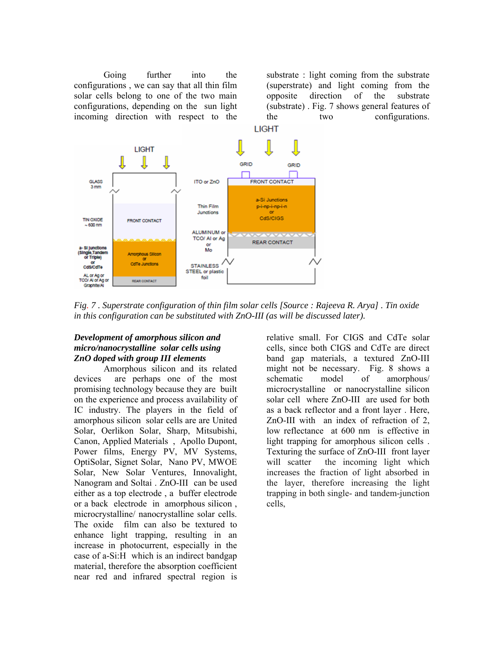Going further into the configurations , we can say that all thin film solar cells belong to one of the two main configurations, depending on the sun light incoming direction with respect to the

substrate : light coming from the substrate (superstrate) and light coming from the opposite direction of the substrate (substrate) . Fig. 7 shows general features of the two configurations.



*Fig. 7 . Superstrate configuration of thin film solar cells [Source : Rajeeva R. Arya] . Tin oxide in this configuration can be substituted with ZnO-III (as will be discussed later).* 

### *Development of amorphous silicon and micro/nanocrystalline solar cells using ZnO doped with group III elements*

Amorphous silicon and its related devices are perhaps one of the most promising technology because they are built on the experience and process availability of IC industry. The players in the field of amorphous silicon solar cells are are United Solar, Oerlikon Solar, Sharp, Mitsubishi, Canon, Applied Materials , Apollo Dupont, Power films, Energy PV, MV Systems, OptiSolar, Signet Solar, Nano PV, MWOE Solar, New Solar Ventures, Innovalight, Nanogram and Soltai . ZnO-III can be used either as a top electrode , a buffer electrode or a back electrode in amorphous silicon , microcrystalline/ nanocrystalline solar cells. The oxide film can also be textured to enhance light trapping, resulting in an increase in photocurrent, especially in the case of a-Si:H which is an indirect bandgap material, therefore the absorption coefficient near red and infrared spectral region is

relative small. For CIGS and CdTe solar cells, since both CIGS and CdTe are direct band gap materials, a textured ZnO-III might not be necessary. Fig. 8 shows a schematic model of amorphous/ microcrystalline or nanocrystalline silicon solar cell where ZnO-III are used for both as a back reflector and a front layer . Here, ZnO-III with an index of refraction of 2, low reflectance at 600 nm is effective in light trapping for amorphous silicon cells . Texturing the surface of ZnO-III front layer will scatter the incoming light which increases the fraction of light absorbed in the layer, therefore increasing the light trapping in both single- and tandem-junction cells,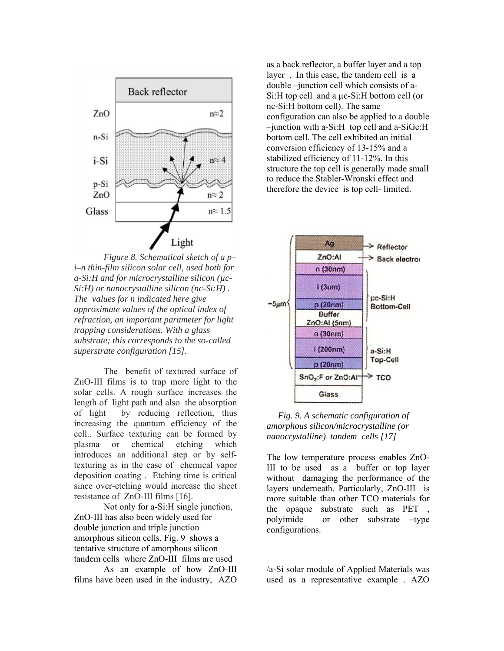

*Figure 8. Schematical sketch of a p– i–n thin-film silicon solar cell, used both for a-Si:H and for microcrystalline silicon (µc-Si:H) or nanocrystalline silicon (nc-Si:H) . The values for n indicated here give approximate values of the optical index of refraction, an important parameter for light trapping considerations. With a glass substrate; this corresponds to the so-called superstrate configuration [15].* 

The benefit of textured surface of ZnO-III films is to trap more light to the solar cells. A rough surface increases the length of light path and also the absorption of light by reducing reflection, thus increasing the quantum efficiency of the cell.. Surface texturing can be formed by plasma or chemical etching which introduces an additional step or by selftexturing as in the case of chemical vapor deposition coating . Etching time is critical since over-etching would increase the sheet resistance of ZnO-III films [16].

Not only for a-Si:H single junction, ZnO-III has also been widely used for double junction and triple junction amorphous silicon cells. Fig. 9 shows a tentative structure of amorphous silicon tandem cells where ZnO-III films are used

As an example of how ZnO-III films have been used in the industry, AZO

as a back reflector, a buffer layer and a top layer . In this case, the tandem cell is a double –junction cell which consists of a-Si:H top cell and a  $\mu$ c-Si:H bottom cell (or nc-Si:H bottom cell). The same configuration can also be applied to a double –junction with a-Si:H top cell and a-SiGe:H bottom cell. The cell exhibited an initial conversion efficiency of 13-15% and a stabilized efficiency of 11-12%. In this structure the top cell is generally made small to reduce the Stabler-Wronski effect and therefore the device is top cell- limited.



 *Fig. 9. A schematic configuration of amorphous silicon/microcrystalline (or nanocrystalline) tandem cells [17]* 

The low temperature process enables ZnO-III to be used as a buffer or top layer without damaging the performance of the layers underneath. Particularly, ZnO-III is more suitable than other TCO materials for the opaque substrate such as PET polyimide or other substrate –type configurations.

/a-Si solar module of Applied Materials was used as a representative example . AZO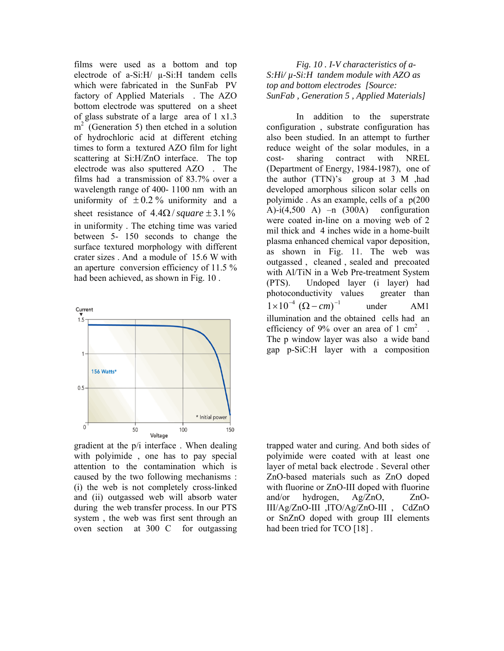films were used as a bottom and top electrode of a-Si:H/ µ-Si:H tandem cells which were fabricated in the SunFab PV factory of Applied Materials . The AZO bottom electrode was sputtered on a sheet of glass substrate of a large area of 1 x1.3  $m<sup>2</sup>$  (Generation 5) then etched in a solution of hydrochloric acid at different etching times to form a textured AZO film for light scattering at Si:H/ZnO interface. The top electrode was also sputtered AZO . The films had a transmission of 83.7% over a wavelength range of 400- 1100 nm with an uniformity of  $\pm 0.2$ % uniformity and a sheet resistance of  $4.4\Omega$ /square  $\pm 3.1\%$ in uniformity . The etching time was varied between 5- 150 seconds to change the surface textured morphology with different crater sizes . And a module of 15.6 W with an aperture conversion efficiency of 11.5 % had been achieved, as shown in Fig. 10 .



gradient at the p/i interface . When dealing with polyimide , one has to pay special attention to the contamination which is caused by the two following mechanisms : (i) the web is not completely cross-linked and (ii) outgassed web will absorb water during the web transfer process. In our PTS system , the web was first sent through an oven section at 300 C for outgassing

*Fig. 10 . I-V characteristics of a-S:Hi/ µ-Si:H tandem module with AZO as top and bottom electrodes [Source: SunFab , Generation 5 , Applied Materials]* 

In addition to the superstrate configuration , substrate configuration has also been studied. In an attempt to further reduce weight of the solar modules, in a cost- sharing contract with NREL (Department of Energy, 1984-1987), one of the author (TTN)'s group at 3 M ,had developed amorphous silicon solar cells on polyimide . As an example, cells of a p(200 A)-i(4,500 A) –n  $(300A)$  configuration were coated in-line on a moving web of 2 mil thick and 4 inches wide in a home-built plasma enhanced chemical vapor deposition, as shown in Fig. 11. The web was outgassed , cleaned , sealed and precoated with Al/TiN in a Web Pre-treatment System (PTS). Undoped layer (i layer) had photoconductivity values greater than under AM1 illumination and the obtained cells had an efficiency of 9% over an area of 1  $\text{cm}^2$ The p window layer was also a wide band gap p-SiC:H layer with a composition  $1 \times 10^{-4}$   $(\Omega - cm)^{-1}$ 

trapped water and curing. And both sides of polyimide were coated with at least one layer of metal back electrode . Several other ZnO-based materials such as ZnO doped with fluorine or ZnO-III doped with fluorine and/or hydrogen, Ag/ZnO, ZnO-III/Ag/ZnO-III ,ITO/Ag/ZnO-III , CdZnO or SnZnO doped with group III elements had been tried for TCO [18].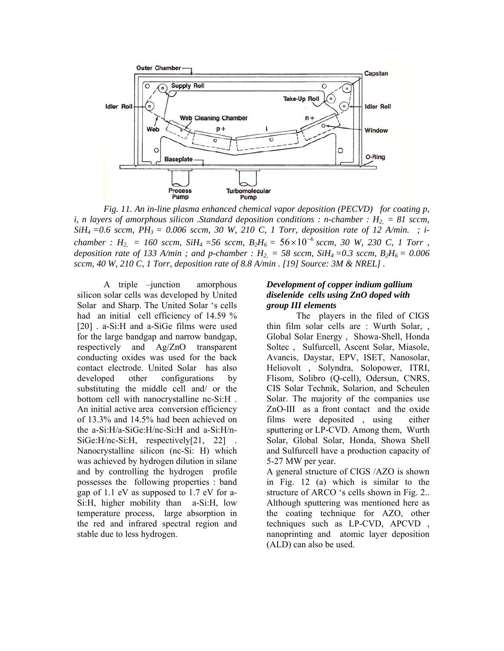

*Fig. 11. An in-line plasma enhanced chemical vapor deposition (PECVD) for coating p, i, n layers of amorphous silicon .Standard deposition conditions : n-chamber :*  $H_2 = 81$  *sccm, SiH4 =0.6 sccm, PH3 = 0.006 sccm, 30 W, 210 C, 1 Torr, deposition rate of 12 A/min. ; ichamber : H*<sub>2,</sub> = 160 sccm, SiH<sub>4</sub> = 56 sccm, B<sub>2</sub>H<sub>6</sub> =  $56 \times 10^{-6}$  sccm, 30 W, 230 C, 1 Torr, *deposition rate of 133 A/min; and p-chamber :*  $H_{2} = 58$  *sccm, SiH<sub>4</sub> = 0.3 sccm, B<sub>2</sub>H<sub>6</sub> = 0.006 sccm, 40 W, 210 C, 1 Torr, deposition rate of 8.8 A/min . [19] Source: 3M & NREL] .*   $56 \times 10^{-6}$ 

A triple –junction amorphous silicon solar cells was developed by United Solar and Sharp. The United Solar 's cells had an initial cell efficiency of 14.59 % [20] . a-Si:H and a-SiGe films were used for the large bandgap and narrow bandgap, respectively and Ag/ZnO transparent conducting oxides was used for the back contact electrode. United Solar has also developed other configurations by substituting the middle cell and/ or the bottom cell with nanocrystalline nc-Si:H . An initial active area conversion efficiency of 13.3% and 14.5% had been achieved on the a-Si:H/a-SiGe:H/nc-Si:H and a-Si:H/n-SiGe: H/nc-Si: H, respectively [21, 22]. Nanocrystalline silicon (nc-Si: H) which was achieved by hydrogen dilution in silane and by controlling the hydrogen profile possesses the following properties : band gap of 1.1 eV as supposed to 1.7 eV for a-Si:H, higher mobility than a-Si:H, low temperature process, large absorption in the red and infrared spectral region and stable due to less hydrogen.

### *Development of copper indium gallium diselenide cells using ZnO doped with group III elements*

The players in the filed of CIGS thin film solar cells are : Wurth Solar, , Global Solar Energy , Showa-Shell, Honda Soltec , Sulfurcell, Ascent Solar, Miasole, Avancis, Daystar, EPV, ISET, Nanosolar, Heliovolt , Solyndra, Solopower, ITRI, Flisom, Solibro (Q-cell), Odersun, CNRS, CIS Solar Technik, Solarion, and Scheulen Solar. The majority of the companies use ZnO-III as a front contact and the oxide films were deposited , using either sputtering or LP-CVD. Among them, Wurth Solar, Global Solar, Honda, Showa Shell and Sulfurcell have a production capacity of 5-27 MW per year.

A general structure of CIGS /AZO is shown in Fig. 12 (a) which is similar to the structure of ARCO 's cells shown in Fig. 2.. Although sputtering was mentioned here as the coating technique for AZO, other techniques such as LP-CVD, APCVD , nanoprinting and atomic layer deposition (ALD) can also be used.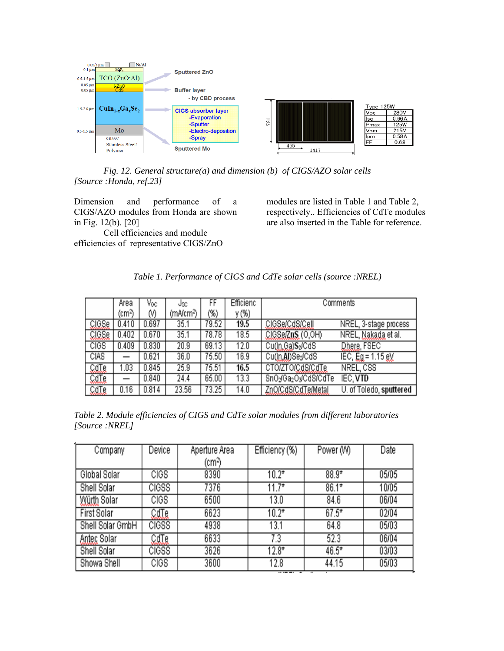

*Fig. 12. General structure(a) and dimension (b) of CIGS/AZO solar cells [Source :Honda, ref.23]* 

Dimension and performance of a CIGS/AZO modules from Honda are shown in Fig. 12(b). [20]

Cell efficiencies and module efficiencies of representative CIGS/ZnO

modules are listed in Table 1 and Table 2, respectively.. Efficiencies of CdTe modules are also inserted in the Table for reference.

|  |  |  |  | Table 1. Performance of CIGS and CdTe solar cells (source :NREL) |
|--|--|--|--|------------------------------------------------------------------|
|--|--|--|--|------------------------------------------------------------------|

|             | Area               | Voc   | Jsc      | FF     | Efficienc |                    | Comments                |
|-------------|--------------------|-------|----------|--------|-----------|--------------------|-------------------------|
|             | (cm <sup>2</sup> ) | M     | (mA/cm²) | $(\%)$ | y (%)     |                    |                         |
| CIGSe       | 0.410              | 0.697 | 35.1     | 79.52  | 19.5      | CIGSe/CdS/Cell     | NREL, 3-stage process   |
| CIGSe       | 0.402              | 0.670 | 35.1     | 78.78  | 18.5      | CIGSe/ZnS (O,OH)   | NREL, Nakada et al.     |
| <b>CIGS</b> | 0.409              | 0.830 | 20.9     | 69.13  | 12.0      | Cu(Jn, Ga)S2/CdS   | Dhere, FSEC             |
| CIAS        |                    | 0.621 | 36.0     | 75.50  | 16.9      | Cu(Jn.Al)SeyCdS    | IEC, $Eg = 1.15 gV$     |
| CdTe        | 1.03               | 0.845 | 25.9     | 75.51  | 16.5      | CTO/ZTO/CdS/CdTe   | NREL, CSS               |
| CdTe        |                    | 0.840 | 24.4     | 65.00  | 13.3      | SnO2Ga2O3CdS/CdTe  | IEC, VTD                |
| CdTe        | 0.16               | 0.814 | 23.56    | 73.25  | 14.0      | ZnO/CdS/CdTe/Metal | U. of Toledo, sputtered |

*Table 2. Module efficiencies of CIGS and CdTe solar modules from different laboratories [Source :NREL]* 

| Company            | Device       | Aperture Area | Efficiency (%) | Power (W) | Date  |
|--------------------|--------------|---------------|----------------|-----------|-------|
|                    |              | (cmª)         |                |           |       |
| Global Solar       | <b>CIGS</b>  | 8390          | $10.2*$        | $88.9*$   | 05/05 |
| Shell Solar        | <b>CIGSS</b> | 7376          | $11.7*$        | $86.1*$   | 10/05 |
| Würth Solar        | <b>CIGS</b>  | 6500          | 13.0           | 84.6      | 06/04 |
| First Solar        | CdTe         | 6623          | $10.2*$        | $67.5*$   | 02/04 |
| Shell Solar GmbH   | <b>CIGSS</b> | 4938          | 13.1           | 64.8      | 05/03 |
| <b>Antec Solar</b> | CdTe         | 6633          | 7.3            | 52.3      | 06/04 |
| Shell Solar        | <b>CIGSS</b> | 3626          | $12.8*$        | 46.5*     | 03/03 |
| Showa Shell        | <b>CIGS</b>  | 3600          | 12.8           | 44.15     | 05/03 |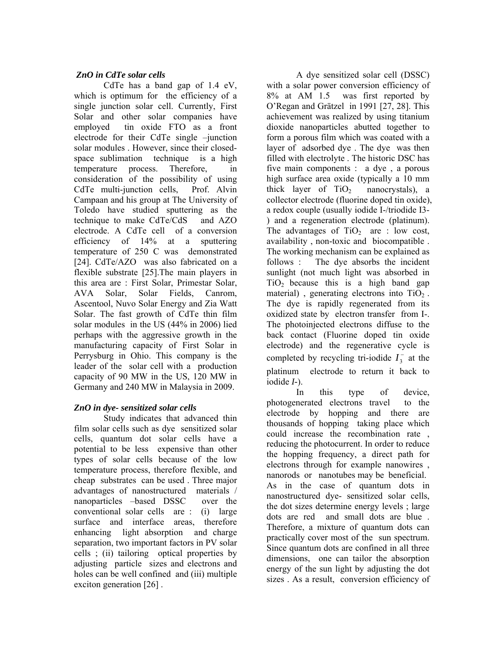# *ZnO in CdTe solar cells*

CdTe has a band gap of 1.4 eV, which is optimum for the efficiency of a single junction solar cell. Currently, First Solar and other solar companies have employed tin oxide FTO as a front electrode for their CdTe single –junction solar modules . However, since their closedspace sublimation technique is a high temperature process. Therefore, in consideration of the possibility of using CdTe multi-junction cells, Prof. Alvin Campaan and his group at The University of Toledo have studied sputtering as the technique to make CdTe/CdS and AZO electrode. A CdTe cell of a conversion efficiency of 14% at a sputtering temperature of 250 C was demonstrated [24]. CdTe/AZO was also fabricated on a flexible substrate [25].The main players in this area are : First Solar, Primestar Solar, AVA Solar, Solar Fields, Canrom, Ascentool, Nuvo Solar Energy and Zia Watt Solar. The fast growth of CdTe thin film solar modules in the US (44% in 2006) lied perhaps with the aggressive growth in the manufacturing capacity of First Solar in Perrysburg in Ohio. This company is the leader of the solar cell with a production capacity of 90 MW in the US, 120 MW in Germany and 240 MW in Malaysia in 2009.

# *ZnO in dye- sensitized solar cells*

Study indicates that advanced thin film solar cells such as dye sensitized solar cells, quantum dot solar cells have a potential to be less expensive than other types of solar cells because of the low temperature process, therefore flexible, and cheap substrates can be used . Three major advantages of nanostructured materials / nanoparticles –based DSSC over the conventional solar cells are : (i) large surface and interface areas, therefore enhancing light absorption and charge separation, two important factors in PV solar cells ; (ii) tailoring optical properties by adjusting particle sizes and electrons and holes can be well confined and (iii) multiple exciton generation [26] .

A dye sensitized solar cell (DSSC) with a solar power conversion efficiency of 8% at AM 1.5 was first reported by O'Regan and Grätzel in 1991 [27, 28]. This achievement was realized by using titanium dioxide nanoparticles abutted together to form a porous film which was coated with a layer of adsorbed dye . The dye was then filled with electrolyte . The historic DSC has five main components : a dye , a porous high surface area oxide (typically a 10 mm thick layer of  $TiO<sub>2</sub>$  nanocrystals), a collector electrode (fluorine doped tin oxide), a redox couple (usually iodide I-/triodide I3- ) and a regeneration electrode (platinum). The advantages of  $TiO<sub>2</sub>$  are : low cost, availability , non-toxic and biocompatible . The working mechanism can be explained as follows : The dye absorbs the incident sunlight (not much light was absorbed in  $TiO<sub>2</sub>$  because this is a high band gap material), generating electrons into  $TiO<sub>2</sub>$ . The dye is rapidly regenerated from its oxidized state by electron transfer from I-. The photoinjected electrons diffuse to the back contact (Fluorine doped tin oxide electrode) and the regenerative cycle is completed by recycling tri-iodide  $I_3^-$  at the platinum electrode to return it back to iodide *I-*).

In this type of device, photogenerated electrons travel to the electrode by hopping and there are thousands of hopping taking place which could increase the recombination rate , reducing the photocurrent. In order to reduce the hopping frequency, a direct path for electrons through for example nanowires , nanorods or nanotubes may be beneficial. As in the case of quantum dots in nanostructured dye- sensitized solar cells, the dot sizes determine energy levels ; large dots are red and small dots are blue . Therefore, a mixture of quantum dots can practically cover most of the sun spectrum. Since quantum dots are confined in all three dimensions, one can tailor the absorption energy of the sun light by adjusting the dot sizes . As a result, conversion efficiency of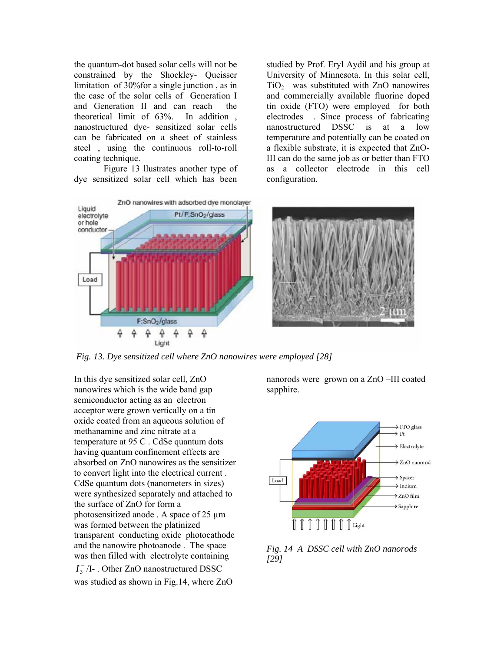the quantum-dot based solar cells will not be constrained by the Shockley- Queisser limitation of 30%for a single junction , as in the case of the solar cells of Generation I and Generation II and can reach the theoretical limit of 63%. In addition , nanostructured dye- sensitized solar cells can be fabricated on a sheet of stainless steel , using the continuous roll-to-roll coating technique.

Figure 13 llustrates another type of dye sensitized solar cell which has been

studied by Prof. Eryl Aydil and his group at University of Minnesota. In this solar cell,  $TiO<sub>2</sub>$  was substituted with ZnO nanowires and commercially available fluorine doped tin oxide (FTO) were employed for both electrodes . Since process of fabricating nanostructured DSSC is at a low temperature and potentially can be coated on a flexible substrate, it is expected that ZnO-III can do the same job as or better than FTO as a collector electrode in this cell configuration.



*Fig. 13. Dye sensitized cell where ZnO nanowires were employed [28]* 

In this dye sensitized solar cell, ZnO nanowires which is the wide band gap semiconductor acting as an electron acceptor were grown vertically on a tin oxide coated from an aqueous solution of methanamine and zinc nitrate at a temperature at 95 C . CdSe quantum dots having quantum confinement effects are absorbed on ZnO nanowires as the sensitizer to convert light into the electrical current . CdSe quantum dots (nanometers in sizes) were synthesized separately and attached to the surface of ZnO for form a photosensitized anode . A space of 25 µm was formed between the platinized transparent conducting oxide photocathode and the nanowire photoanode . The space was then filled with electrolyte containing  $I_3^-$  /I- . Other ZnO nanostructured DSSC was studied as shown in Fig.14, where ZnO

nanorods were grown on a ZnO –III coated sapphire.



*Fig. 14 A DSSC cell with ZnO nanorods [29]*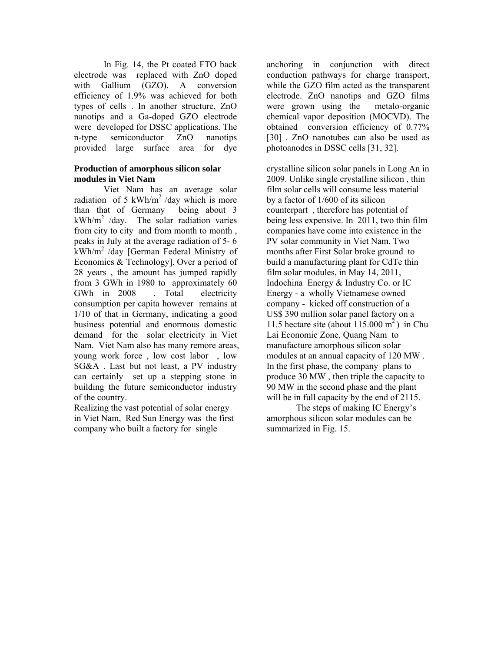In Fig. 14, the Pt coated FTO back electrode was replaced with ZnO doped with Gallium (GZO). A conversion efficiency of 1.9% was achieved for both types of cells . In another structure, ZnO nanotips and a Ga-doped GZO electrode were developed for DSSC applications. The n-type semiconductor ZnO nanotips provided large surface area for dye

## **Production of amorphous silicon solar modules in Viet Nam**

Viet Nam has an average solar radiation of 5 kWh/m<sup>2</sup> /day which is more than that of Germany being about 3  $kWh/m^2$  /day. The solar radiation varies from city to city and from month to month , peaks in July at the average radiation of 5- 6 kWh/m2 /day [German Federal Ministry of Economics & Technology]. Over a period of 28 years , the amount has jumped rapidly from 3 GWh in 1980 to approximately 60 GWh in 2008 . Total electricity consumption per capita however remains at 1/10 of that in Germany, indicating a good business potential and enormous domestic demand for the solar electricity in Viet Nam. Viet Nam also has many remore areas, young work force , low cost labor , low SG&A . Last but not least, a PV industry can certainly set up a stepping stone in building the future semiconductor industry of the country.

Realizing the vast potential of solar energy in Viet Nam, Red Sun Energy was the first company who built a factory for single

anchoring in conjunction with direct conduction pathways for charge transport, while the GZO film acted as the transparent electrode. ZnO nanotips and GZO films were grown using the metalo-organic chemical vapor deposition (MOCVD). The obtained conversion efficiency of 0.77% [30] . ZnO nanotubes can also be used as photoanodes in DSSC cells [31, 32].

crystalline silicon solar panels in Long An in 2009. Unlike single crystalline silicon , thin film solar cells will consume less material by a factor of 1/600 of its silicon counterpart , therefore has potential of being less expensive. In 2011, two thin film companies have come into existence in the PV solar community in Viet Nam. Two months after First Solar broke ground to build a manufacturing plant for CdTe thin film solar modules, in May 14, 2011, Indochina Energy & Industry Co. or IC Energy - a wholly Vietnamese owned company - kicked off construction of a US\$ 390 million solar panel factory on a 11.5 hectare site (about  $115.000 \text{ m}^2$ ) in Chu Lai Economic Zone, Quang Nam to manufacture amorphous silicon solar modules at an annual capacity of 120 MW . In the first phase, the company plans to produce 30 MW , then triple the capacity to 90 MW in the second phase and the plant will be in full capacity by the end of 2115.

The steps of making IC Energy's amorphous silicon solar modules can be summarized in Fig. 15.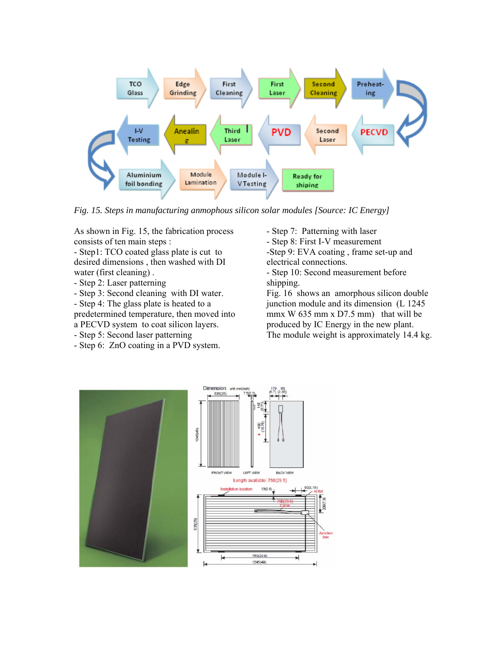

*Fig. 15. Steps in manufacturing anmophous silicon solar modules [Source: IC Energy]* 

As shown in Fig. 15, the fabrication process consists of ten main steps :

- Step1: TCO coated glass plate is cut to desired dimensions , then washed with DI water (first cleaning) .

- Step 2: Laser patterning
- Step 3: Second cleaning with DI water.
- Step 4: The glass plate is heated to a

predetermined temperature, then moved into

- a PECVD system to coat silicon layers.
- Step 5: Second laser patterning
- Step 6: ZnO coating in a PVD system.

- Step 7: Patterning with laser

- Step 8: First I-V measurement

-Step 9: EVA coating , frame set-up and electrical connections.

- Step 10: Second measurement before shipping.

Fig. 16 shows an amorphous silicon double junction module and its dimension (L 1245 mmx W  $635$  mm x D7.5 mm) that will be produced by IC Energy in the new plant. The module weight is approximately 14.4 kg.

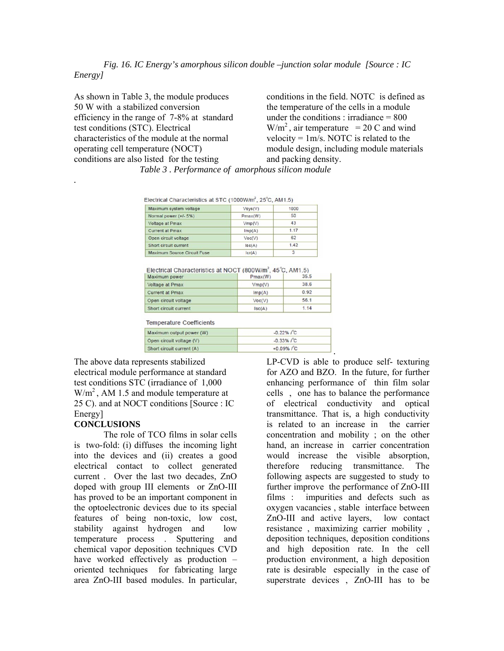#### *Fig. 16. IC Energy's amorphous silicon double –junction solar module [Source : IC Energy]*

As shown in Table 3, the module produces 50 W with a stabilized conversion efficiency in the range of 7-8% at standard test conditions (STC). Electrical characteristics of the module at the normal operating cell temperature (NOCT) conditions are also listed for the testing

conditions in the field. NOTC is defined as the temperature of the cells in a module under the conditions : irradiance  $= 800$  $W/m<sup>2</sup>$ , air temperature = 20 C and wind velocity =  $1m/s$ . NOTC is related to the module design, including module materials and packing density.

| Electrical Characteristics at STC (1000W/m <sup>2</sup> , 25°C, AM1.5) |               |                |  |
|------------------------------------------------------------------------|---------------|----------------|--|
| Maximum system voltage                                                 | $V$ sys $(V)$ | 1000           |  |
| Normal power (+/- 5%)                                                  | Pmax(W)       | 50             |  |
| Voltage at Pmax                                                        | Vmp(V)        | 43             |  |
| <b>Current at Pmax</b>                                                 | Imp(A)        | 1.17           |  |
| Open circuit voltage                                                   | Voc(V)        | 62             |  |
| Short circuit current                                                  | lsc(A)        | 1.42           |  |
| Marianne Carrera Clearly Creek                                         | $k = 16.3$    | $\overline{ }$ |  |

 *Table 3 . Performance of amorphous silicon module* 

| Maximum power          | Pmax(W) | 35.5 |
|------------------------|---------|------|
| Voltage at Pmax        | Vmp(V)  | 38.6 |
| <b>Current at Pmax</b> | Imp(A)  | 0.92 |
| Open circuit voltage   | Vec(V)  | 56.1 |
| Short circuit current  | sc(A)   | 1.14 |

**Temperature Coefficients** 

| Maximum output power (W)  | $-0.22\%$ / °C        |
|---------------------------|-----------------------|
| Open circuit voltage (V)  | $-0.33\%$ $\int C$    |
| Short circuit current (A) | $+0.09\%$ $\degree$ C |

The above data represents stabilized electrical module performance at standard test conditions STC (irradiance of 1,000  $W/m<sup>2</sup>$ , AM 1.5 and module temperature at 25 C). and at NOCT conditions [Source : IC Energy]

### **CONCLUSIONS**

*.* 

The role of TCO films in solar cells is two-fold: (i) diffuses the incoming light into the devices and (ii) creates a good electrical contact to collect generated current . Over the last two decades, ZnO doped with group III elements or ZnO-III has proved to be an important component in the optoelectronic devices due to its special features of being non-toxic, low cost, stability against hydrogen and low temperature process . Sputtering and chemical vapor deposition techniques CVD have worked effectively as production – oriented techniques for fabricating large area ZnO-III based modules. In particular,

LP-CVD is able to produce self- texturing for AZO and BZO. In the future, for further enhancing performance of thin film solar cells , one has to balance the performance of electrical conductivity and optical transmittance. That is, a high conductivity is related to an increase in the carrier concentration and mobility ; on the other hand, an increase in carrier concentration would increase the visible absorption, therefore reducing transmittance. The following aspects are suggested to study to further improve the performance of ZnO-III films : impurities and defects such as oxygen vacancies , stable interface between ZnO-III and active layers, low contact resistance , maximizing carrier mobility , deposition techniques, deposition conditions and high deposition rate. In the cell production environment, a high deposition rate is desirable especially in the case of superstrate devices , ZnO-III has to be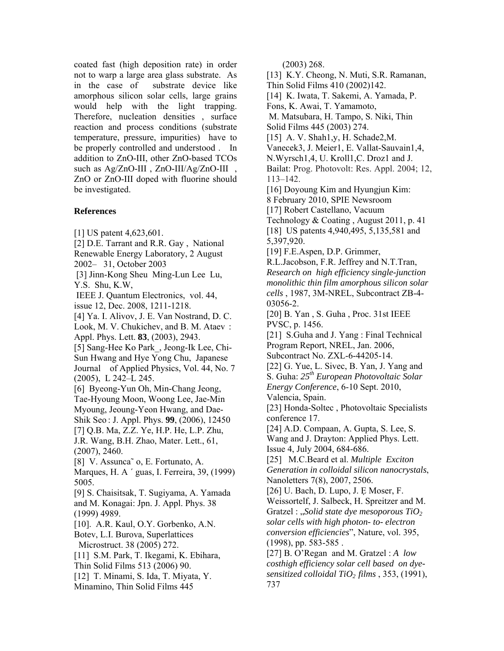coated fast (high deposition rate) in order not to warp a large area glass substrate. As in the case of substrate device like amorphous silicon solar cells, large grains would help with the light trapping. Therefore, nucleation densities , surface reaction and process conditions (substrate temperature, pressure, impurities) have to be properly controlled and understood . In addition to ZnO-III, other ZnO-based TCOs such as Ag/ZnO-III , ZnO-III/Ag/ZnO-III , ZnO or ZnO-III doped with fluorine should be investigated.

### **References**

[1] US patent 4,623,601.

[2] D.E. Tarrant and R.R. Gay , National Renewable Energy Laboratory, 2 August

2002– 31, October 2003

 [3] Jinn-Kong Sheu Ming-Lun Lee Lu, Y.S. Shu, K.W,

 IEEE J. [Quantum Electronics](http://ieeexplore.ieee.org/xpl/RecentIssue.jsp?punumber=3), vol. 44, issue 12, Dec. 2008, 1211-1218.

[4] Ya. I. Alivov, J. E. Van Nostrand, D. C. Look, M. V. Chukichev, and B. M. Ataev : Appl. Phys. Lett. **83**, (2003), 2943.

[5] Sang-Hee Ko Park, Jeong-Ik Lee, Chi-Sun Hwang and Hye Yong Chu, Japanese Journal of Applied Physics, Vol. 44, No. 7 (2005), L 242–L 245.

[6] Byeong-Yun Oh, Min-Chang Jeong, Tae-Hyoung Moon, Woong Lee, Jae-Min Myoung, Jeoung-Yeon Hwang, and Dae-Shik Seo : J. Appl. Phys. **99**, (2006), 12450 [7] Q.B. Ma, Z.Z. Ye, H.P. He, L.P. Zhu, J.R. Wang, B.H. Zhao, Mater. Lett., 61, (2007), 2460.

[8] V. Assunca<sup>~</sup> o, E. Fortunato, A. Marques, H. A ´ guas, I. Ferreira, 39, (1999) 5005. [9] S. Chaisitsak, T. Sugiyama, A. Yamada and M. Konagai: Jpn. J. Appl. Phys. 38 (1999) 4989.

[10]. A.R. Kaul, O.Y. Gorbenko, A.N.

Botev, L.I. Burova, Superlattices Microstruct. 38 (2005) 272.

[11] S.M. Park, T. Ikegami, K. Ebihara, Thin Solid Films 513 (2006) 90.

[12] T. Minami, S. Ida, T. Miyata, Y.

Minamino, Thin Solid Films 445

(2003) 268.

[13] K.Y. Cheong, N. Muti, S.R. Ramanan,

Thin Solid Films 410 (2002)142.

[14] K. Iwata, T. Sakemi, A. Yamada, P.

Fons, K. Awai, T. Yamamoto, M. Matsubara, H. Tampo, S. Niki, Thin Solid Films 445 (2003) 274.

[15] A. V. Shah1, y, H. Schade2, M.

Vanecek3, J. Meier1, E. Vallat-Sauvain1,4,

N.Wyrsch1,4, U. Kroll1,C. Droz1 and J.

Bailat: Prog. Photovolt: Res. Appl. 2004; 12, 113–142.

[16] Doyoung Kim and Hyungjun Kim:

8 February 2010, SPIE Newsroom

[17] Robert Castellano, Vacuum

Technology & Coating , August 2011, p. 41 [18] US patents 4,940,495, 5,135,581 and 5,397,920.

[19] F.E.Aspen, D.P. Grimmer,

R.L.Jacobson, F.R. Jeffrey and N.T.Tran, *Research on high efficiency single-junction monolithic thin film amorphous silicon solar cells* , 1987, 3M-NREL, Subcontract ZB-4- 03056-2.

[20] B. Yan, S. Guha, Proc. 31st IEEE PVSC, p. 1456.

[21] S.Guha and J. Yang : Final Technical Program Report, NREL, Jan. 2006,

Subcontract No. ZXL-6-44205-14. [22] G. Yue, L. Sivec, B. Yan, J. Yang and

S. Guha: *25th European Photovoltaic Solar Energy Conference*, 6-10 Sept. 2010, Valencia, Spain.

[23] Honda-Soltec, Photovoltaic Specialists conference 17.

[24] A.D. Compaan, A. Gupta, S. Lee, S. Wang and J. Drayton: Applied Phys. Lett. Issue 4, July 2004, 684-686.

[25] M.C.Beard et al. *Multiple Exciton Generation in colloidal silicon nanocrystals*, Nanoletters 7(8), 2007, 2506.

[26] U. Bach, D. Lupo, J. E Moser, F.

Weissortelf, J. Salbeck, H. Spreitzer and M. Gratzel : "*Solid state dye mesoporous TiO*<sub>2</sub> *solar cells with high photon- to- electron conversion efficiencies*", Nature, vol. 395, (1998), pp. 583-585 .

[27] B. O'Regan and M. Gratzel : *A low costhigh efficiency solar cell based on dyesensitized colloidal TiO2 films* , 353, (1991), 737